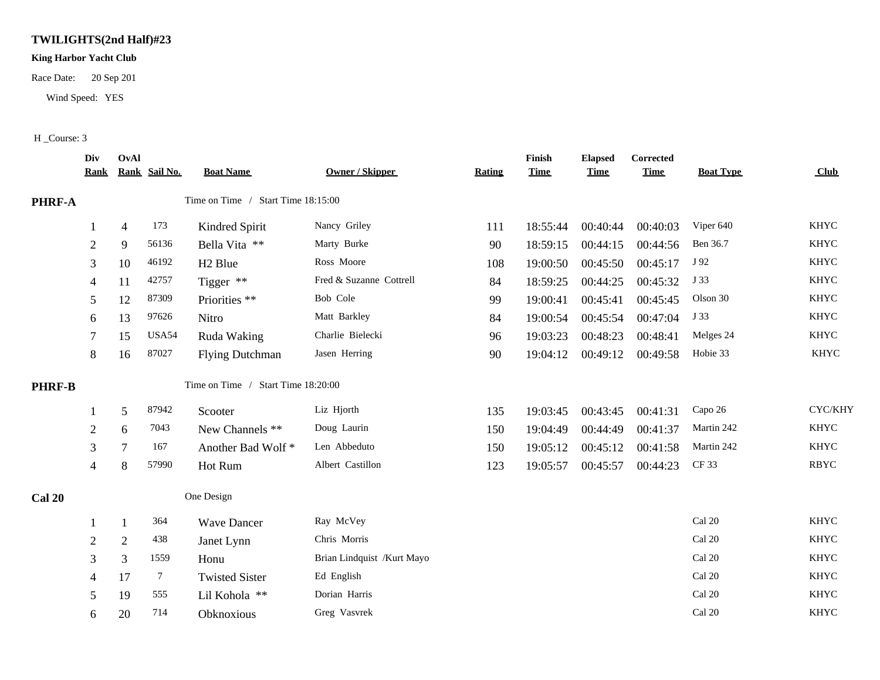## **TWILIGHTS(2nd Half)#23**

## **King Harbor Yacht Club**

Race Date: 20 Sep 201

Wind Speed: YES

## H \_Course: 3

|               | Div<br><b>Rank</b> | OvAl           | Rank Sail No. | <b>Boat Name</b>                   | <b>Owner / Skipper</b>     | <b>Rating</b> | Finish<br><b>Time</b> | <b>Elapsed</b><br><b>Time</b> | <b>Corrected</b><br><b>Time</b> | <b>Boat Type</b> | <b>Club</b> |
|---------------|--------------------|----------------|---------------|------------------------------------|----------------------------|---------------|-----------------------|-------------------------------|---------------------------------|------------------|-------------|
| PHRF-A        |                    |                |               | Time on Time / Start Time 18:15:00 |                            |               |                       |                               |                                 |                  |             |
|               |                    | $\overline{4}$ | 173           | Kindred Spirit                     | Nancy Griley               | 111           | 18:55:44              | 00:40:44                      | 00:40:03                        | Viper 640        | <b>KHYC</b> |
|               | $\overline{2}$     | 9              | 56136         | Bella Vita **                      | Marty Burke                | 90            | 18:59:15              | 00:44:15                      | 00:44:56                        | Ben 36.7         | <b>KHYC</b> |
|               | 3                  | 10             | 46192         | H <sub>2</sub> Blue                | Ross Moore                 | 108           | 19:00:50              | 00:45:50                      | 00:45:17                        | J 92             | <b>KHYC</b> |
|               | 4                  | 11             | 42757         | Tigger **                          | Fred & Suzanne Cottrell    | 84            | 18:59:25              | 00:44:25                      | 00:45:32                        | J 33             | <b>KHYC</b> |
|               | 5                  | 12             | 87309         | Priorities **                      | Bob Cole                   | 99            | 19:00:41              | 00:45:41                      | 00:45:45                        | Olson 30         | <b>KHYC</b> |
|               | 6                  | 13             | 97626         | Nitro                              | Matt Barkley               | 84            | 19:00:54              | 00:45:54                      | 00:47:04                        | J 33             | <b>KHYC</b> |
|               | 7                  | 15             | USA54         | Ruda Waking                        | Charlie Bielecki           | 96            | 19:03:23              | 00:48:23                      | 00:48:41                        | Melges 24        | <b>KHYC</b> |
|               | 8                  | 16             | 87027         | <b>Flying Dutchman</b>             | Jasen Herring              | 90            | 19:04:12              | 00:49:12                      | 00:49:58                        | Hobie 33         | <b>KHYC</b> |
| <b>PHRF-B</b> |                    |                |               | Time on Time / Start Time 18:20:00 |                            |               |                       |                               |                                 |                  |             |
|               |                    | 5              | 87942         | Scooter                            | Liz Hjorth                 | 135           | 19:03:45              | 00:43:45                      | 00:41:31                        | Capo 26          | CYC/KHY     |
|               | $\overline{2}$     | 6              | 7043          | New Channels **                    | Doug Laurin                | 150           | 19:04:49              | 00:44:49                      | 00:41:37                        | Martin 242       | <b>KHYC</b> |
|               | 3                  | 7              | 167           | Another Bad Wolf*                  | Len Abbeduto               | 150           | 19:05:12              | 00:45:12                      | 00:41:58                        | Martin 242       | <b>KHYC</b> |
|               | 4                  | 8              | 57990         | Hot Rum                            | Albert Castillon           | 123           | 19:05:57              | 00:45:57                      | 00:44:23                        | CF 33            | <b>RBYC</b> |
| <b>Cal 20</b> |                    |                |               | One Design                         |                            |               |                       |                               |                                 |                  |             |
|               |                    | $\mathbf{1}$   | 364           | <b>Wave Dancer</b>                 | Ray McVey                  |               |                       |                               |                                 | Cal 20           | <b>KHYC</b> |
|               | $\overline{2}$     | $\overline{2}$ | 438           | Janet Lynn                         | Chris Morris               |               |                       |                               |                                 | Cal 20           | <b>KHYC</b> |
|               | 3                  | $\mathfrak{Z}$ | 1559          | Honu                               | Brian Lindquist /Kurt Mayo |               |                       |                               |                                 | Cal 20           | <b>KHYC</b> |
|               | 4                  | 17             | $\tau$        | <b>Twisted Sister</b>              | Ed English                 |               |                       |                               |                                 | Cal 20           | <b>KHYC</b> |
|               | 5                  | 19             | 555           | Lil Kohola **                      | Dorian Harris              |               |                       |                               |                                 | Cal 20           | <b>KHYC</b> |
|               | 6                  | 20             | 714           | Obknoxious                         | Greg Vasvrek               |               |                       |                               |                                 | Cal 20           | <b>KHYC</b> |